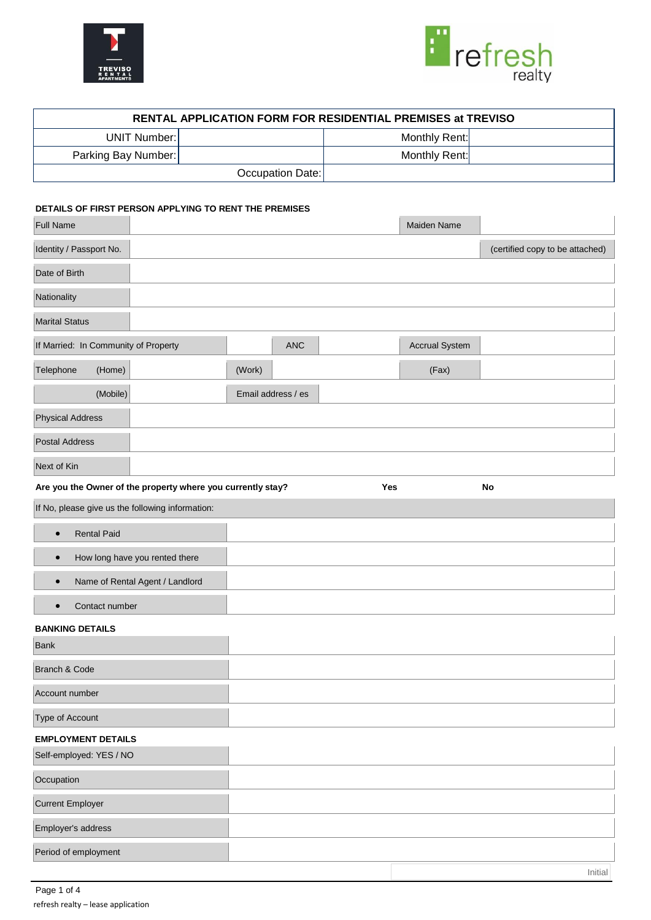



 $\overline{\phantom{a}}$ 

Initial

|                     | RENTAL APPLICATION FORM FOR RESIDENTIAL PREMISES at TREVISO |
|---------------------|-------------------------------------------------------------|
| <b>UNIT Number:</b> | Monthly Rent:                                               |
| Parking Bay Number: | Monthly Rent:                                               |
| Occupation Date:    |                                                             |

# **DETAILS OF FIRST PERSON APPLYING TO RENT THE PREMISES**

| Full Name                                                   |                    | Maiden Name           |                                 |
|-------------------------------------------------------------|--------------------|-----------------------|---------------------------------|
| Identity / Passport No.                                     |                    |                       | (certified copy to be attached) |
| Date of Birth                                               |                    |                       |                                 |
| Nationality                                                 |                    |                       |                                 |
| <b>Marital Status</b>                                       |                    |                       |                                 |
| If Married: In Community of Property                        | <b>ANC</b>         | <b>Accrual System</b> |                                 |
| Telephone<br>(Home)                                         | (Work)             | (Fax)                 |                                 |
| (Mobile)                                                    | Email address / es |                       |                                 |
| <b>Physical Address</b>                                     |                    |                       |                                 |
| <b>Postal Address</b>                                       |                    |                       |                                 |
| Next of Kin                                                 |                    |                       |                                 |
| Are you the Owner of the property where you currently stay? | Yes                |                       | No                              |
| If No, please give us the following information:            |                    |                       |                                 |
| <b>Rental Paid</b><br>$\bullet$                             |                    |                       |                                 |
| How long have you rented there<br>$\bullet$                 |                    |                       |                                 |
| Name of Rental Agent / Landlord<br>$\bullet$                |                    |                       |                                 |
| Contact number<br>$\bullet$                                 |                    |                       |                                 |
| <b>BANKING DETAILS</b><br><b>Bank</b>                       |                    |                       |                                 |
| Branch & Code                                               |                    |                       |                                 |
| Account number                                              |                    |                       |                                 |
| Type of Account                                             |                    |                       |                                 |
| <b>EMPLOYMENT DETAILS</b>                                   |                    |                       |                                 |
| Self-employed: YES / NO                                     |                    |                       |                                 |
| Occupation                                                  |                    |                       |                                 |
| <b>Current Employer</b>                                     |                    |                       |                                 |
| Employer's address                                          |                    |                       |                                 |
| Period of employment                                        |                    |                       |                                 |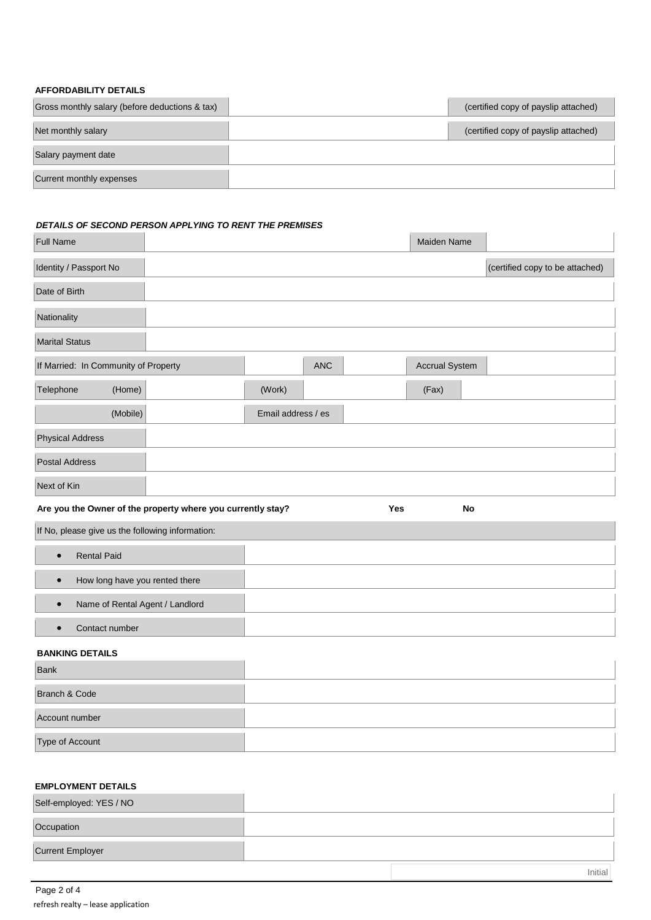## **AFFORDABILITY DETAILS**

| Gross monthly salary (before deductions & tax) | (certified copy of payslip attached) |
|------------------------------------------------|--------------------------------------|
| Net monthly salary                             | (certified copy of payslip attached) |
| Salary payment date                            |                                      |
| Current monthly expenses                       |                                      |

## *DETAILS OF SECOND PERSON APPLYING TO RENT THE PREMISES*

| <b>Full Name</b>                                            |                    | Maiden Name           |                                 |
|-------------------------------------------------------------|--------------------|-----------------------|---------------------------------|
| Identity / Passport No                                      |                    |                       | (certified copy to be attached) |
| Date of Birth                                               |                    |                       |                                 |
| Nationality                                                 |                    |                       |                                 |
| <b>Marital Status</b>                                       |                    |                       |                                 |
| If Married: In Community of Property                        | <b>ANC</b>         | <b>Accrual System</b> |                                 |
| Telephone<br>(Home)                                         | (Work)             | (Fax)                 |                                 |
| (Mobile)                                                    | Email address / es |                       |                                 |
| <b>Physical Address</b>                                     |                    |                       |                                 |
| <b>Postal Address</b>                                       |                    |                       |                                 |
| Next of Kin                                                 |                    |                       |                                 |
| Are you the Owner of the property where you currently stay? |                    | Yes<br>No             |                                 |
| If No, please give us the following information:            |                    |                       |                                 |

| <b>Rental Paid</b><br>$\bullet$              |  |
|----------------------------------------------|--|
| How long have you rented there<br>$\bullet$  |  |
| Name of Rental Agent / Landlord<br>$\bullet$ |  |
| Contact number                               |  |

# **BANKING DETAILS**

| Bank            |  |
|-----------------|--|
| Branch & Code   |  |
| Account number  |  |
| Type of Account |  |

# **EMPLOYMENT DETAILS**

| Self-employed: YES / NO |         |
|-------------------------|---------|
| Occupation              |         |
| <b>Current Employer</b> |         |
|                         | Initial |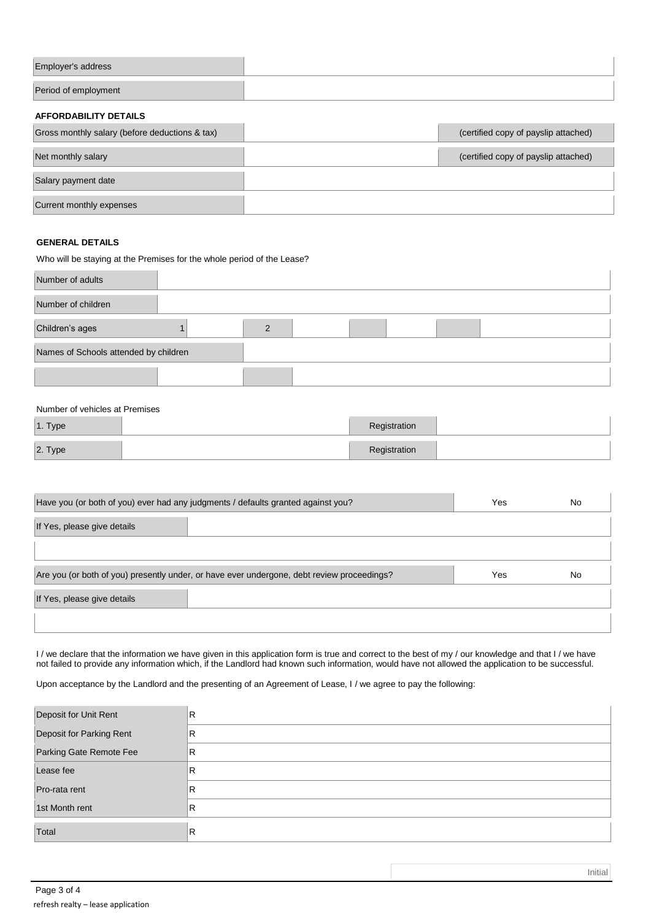## **AFFORDABILITY DETAILS**

| Gross monthly salary (before deductions & tax) | (certified copy of payslip attached) |
|------------------------------------------------|--------------------------------------|
| Net monthly salary                             | (certified copy of payslip attached) |
| Salary payment date                            |                                      |
| Current monthly expenses                       |                                      |

#### **GENERAL DETAILS**

Who will be staying at the Premises for the whole period of the Lease?

| Number of adults                      |  |  |  |  |  |
|---------------------------------------|--|--|--|--|--|
| Number of children                    |  |  |  |  |  |
| Children's ages                       |  |  |  |  |  |
| Names of Schools attended by children |  |  |  |  |  |
|                                       |  |  |  |  |  |

#### Number of vehicles at Premises

| 1. Type | Registration |  |
|---------|--------------|--|
| 2. Type | Registration |  |

| Have you (or both of you) ever had any judgments / defaults granted against you?           | Yes | No |
|--------------------------------------------------------------------------------------------|-----|----|
| If Yes, please give details                                                                |     |    |
|                                                                                            |     |    |
|                                                                                            |     |    |
| Are you (or both of you) presently under, or have ever undergone, debt review proceedings? | Yes | No |
| If Yes, please give details                                                                |     |    |

I / we declare that the information we have given in this application form is true and correct to the best of my / our knowledge and that I / we have not failed to provide any information which, if the Landlord had known such information, would have not allowed the application to be successful.

Upon acceptance by the Landlord and the presenting of an Agreement of Lease, I / we agree to pay the following:

| Deposit for Unit Rent    | R |
|--------------------------|---|
| Deposit for Parking Rent | R |
| Parking Gate Remote Fee  | R |
| Lease fee                | R |
| Pro-rata rent            | R |
| 1st Month rent           | R |
| Total                    | R |